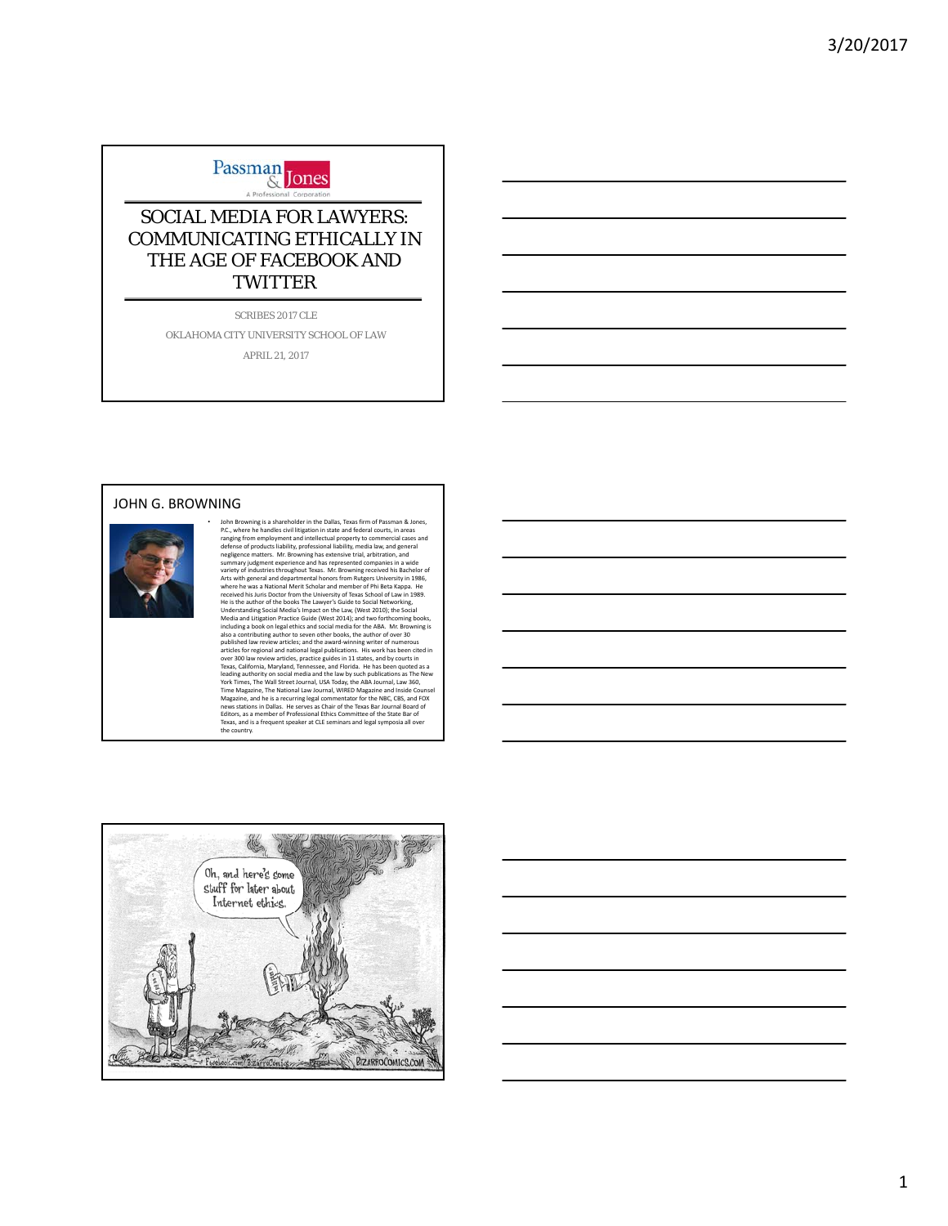

### SOCIAL MEDIA FOR LAWYERS: COMMUNICATING ETHICALLY IN THE AGE OF FACEBOOK AND **TWITTER**

SCRIBES 2017 CLE

OKLAHOMA CITY UNIVERSITY SCHOOL OF LAW APRIL 21, 2017

#### JOHN G. BROWNING



John Browning is a shareholder in the Dallas, Texas firm of Passman & Jones, the De, where he handles civil litigation in state and federal coruts; in areas realige from employment and intellectual property to commercial c

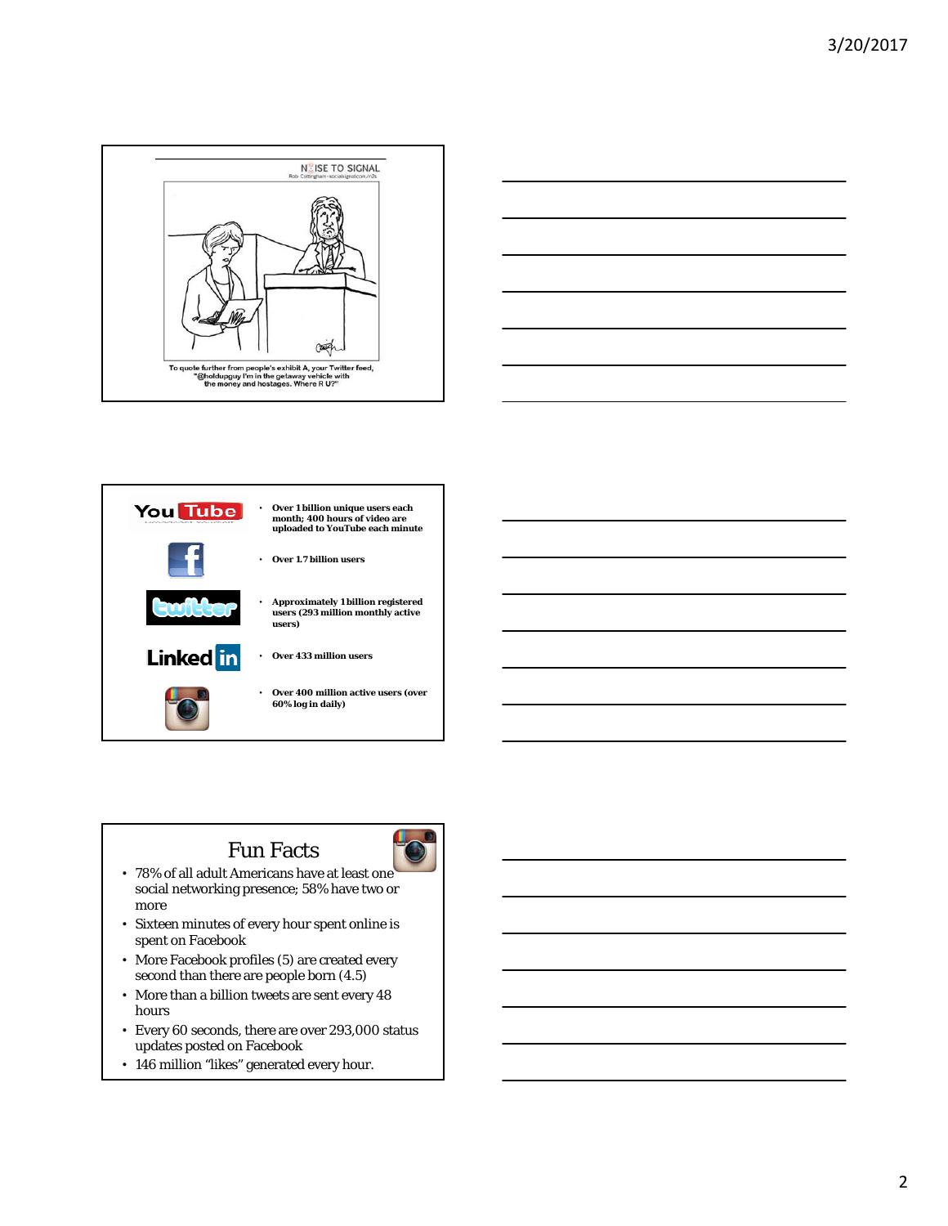





# Fun Facts

- 78% of all adult Americans have at least one social networking presence; 58% have two or more
- Sixteen minutes of every hour spent online is spent on Facebook
- More Facebook profiles (5) are created every second than there are people born (4.5)
- More than a billion tweets are sent every 48 hours
- Every 60 seconds, there are over 293,000 status updates posted on Facebook
- 146 million "likes" generated every hour.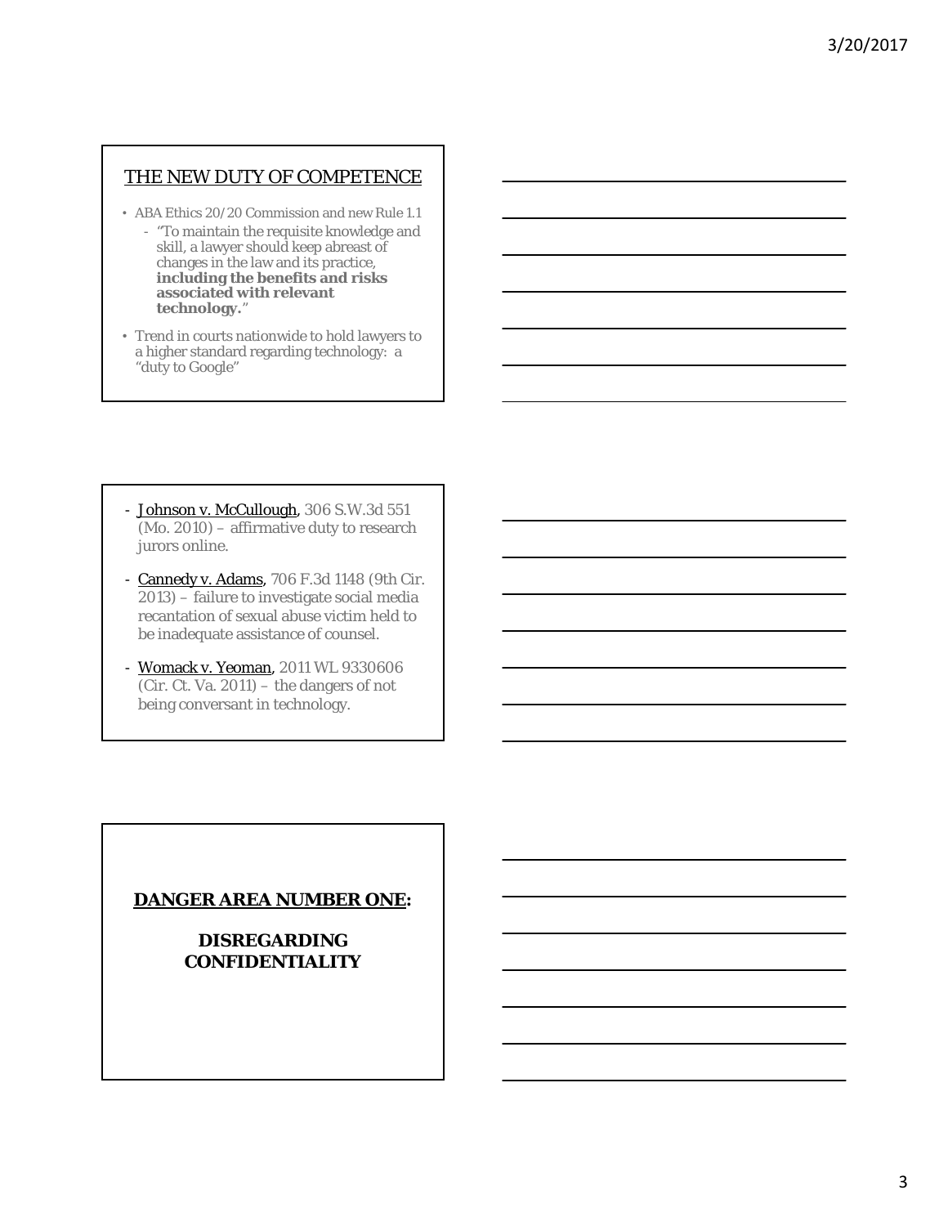### THE NEW DUTY OF COMPETENCE

- ABA Ethics 20/20 Commission and new Rule 1.1
	- "To maintain the requisite knowledge and skill, a lawyer should keep abreast of changes in the law and its practice, **including the benefits and risks associated with relevant technology.**"
- Trend in courts nationwide to hold lawyers to a higher standard regarding technology: a "duty to Google"

- Johnson v. McCullough, 306 S.W.3d 551 (Mo. 2010) – affirmative duty to research jurors online.
- Cannedy v. Adams, 706 F.3d 1148 (9th Cir. 2013) – failure to investigate social media recantation of sexual abuse victim held to be inadequate assistance of counsel.
- Womack v. Yeoman, 2011 WL 9330606 (Cir. Ct. Va. 2011) – the dangers of not being conversant in technology.

### **DANGER AREA NUMBER ONE:**

**DISREGARDING CONFIDENTIALITY**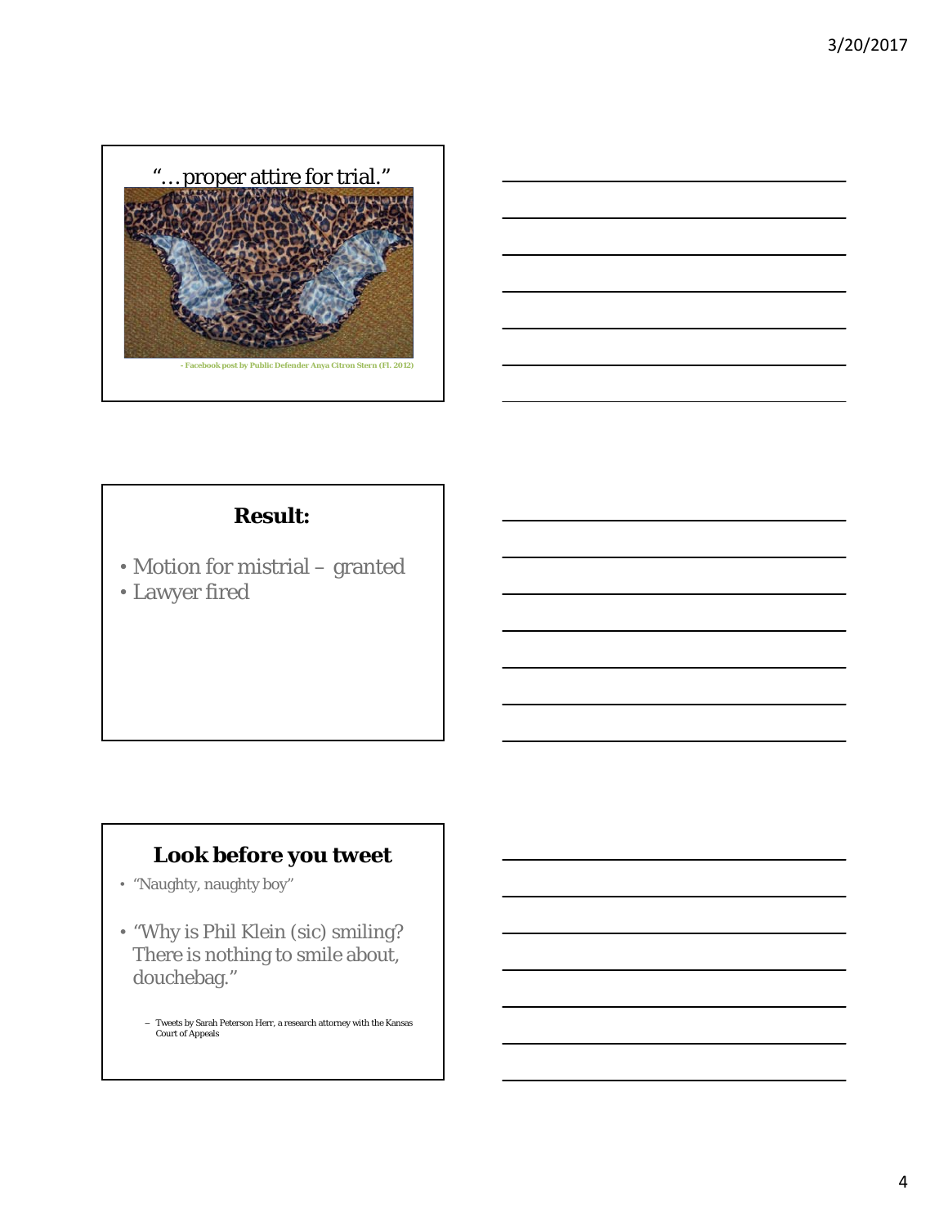



# **Result:**

• Motion for mistrial – granted • Lawyer fired

# **Look before you tweet**

- "Naughty, naughty boy"
- "Why is Phil Klein (sic) smiling? There is nothing to smile about, douchebag."
	- Tweets by Sarah Peterson Herr, a research attorney with the Kansas Court of Appeals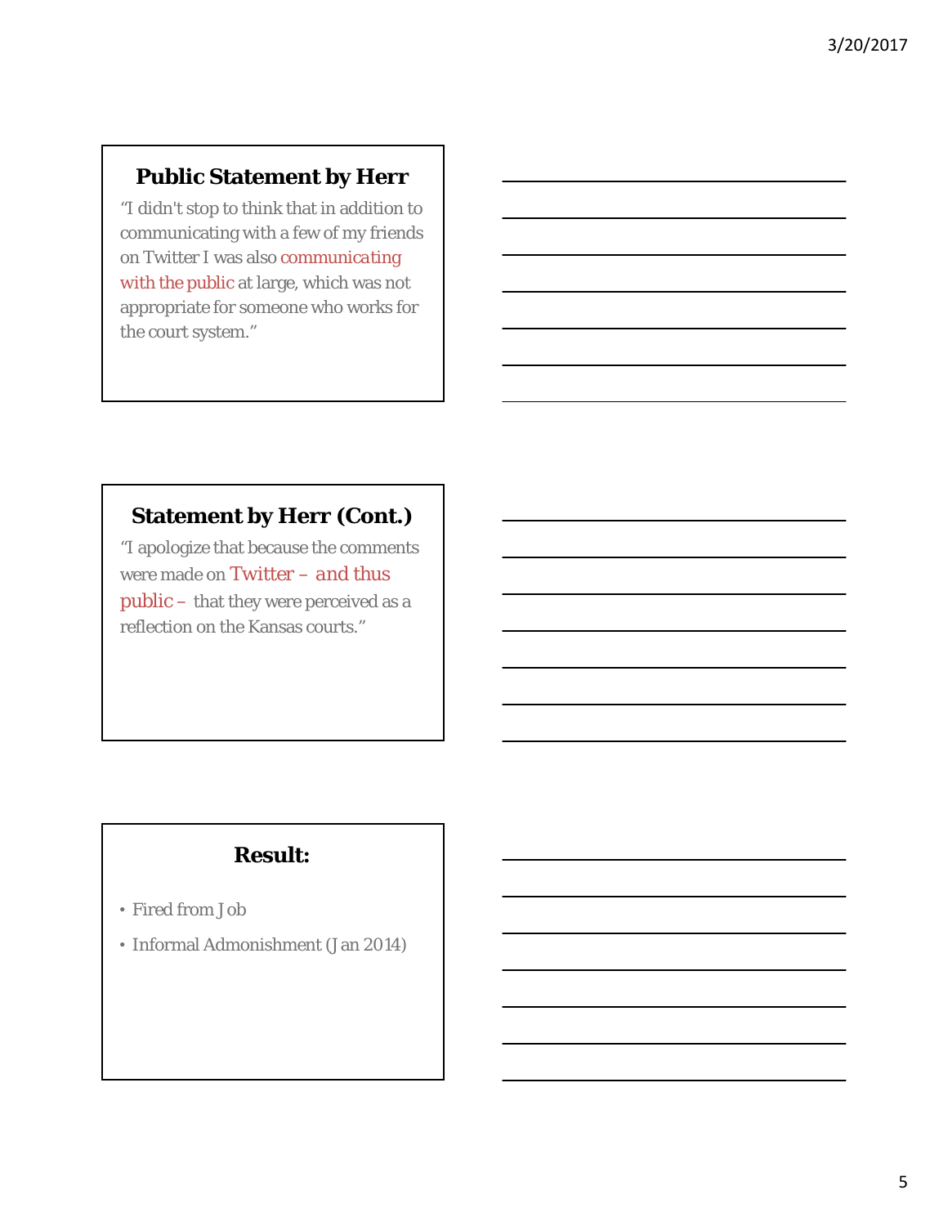# **Public Statement by Herr**

"I didn't stop to think that in addition to communicating with a few of my friends on Twitter I was also *communicating with the public* at large, which was not appropriate for someone who works for the court system."

# **Statement by Herr (Cont.)**

"I apologize that because the comments were made on *Twitter* – *and thus public* – that they were perceived as a reflection on the Kansas courts."

# **Result:**

- Fired from Job
- Informal Admonishment (Jan 2014)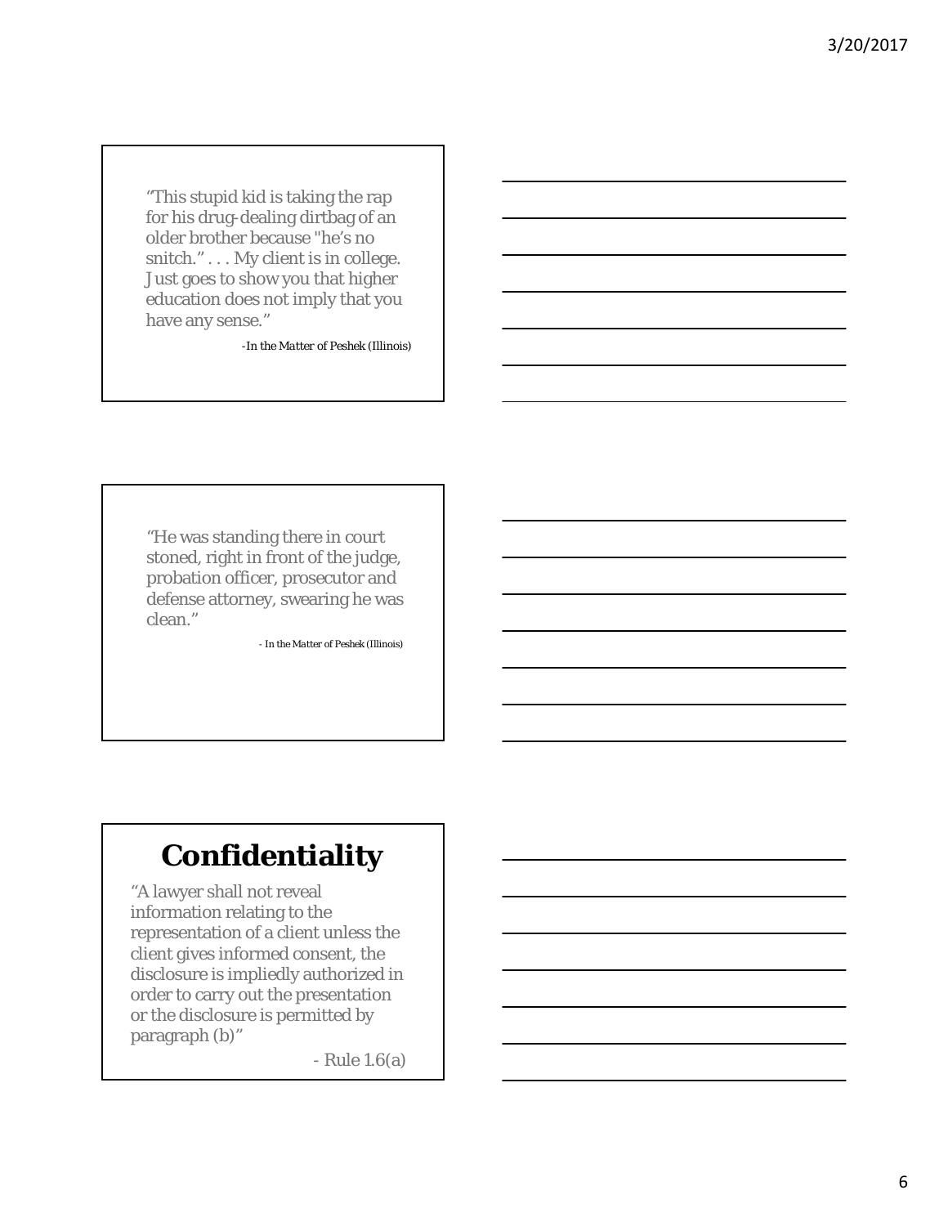"This stupid kid is taking the rap for his drug-dealing dirtbag of an older brother because "he's no snitch." . . . My client is in college. Just goes to show you that higher education does not imply that you have any sense."

-*In the Matter of Peshek* (Illinois)

"He was standing there in court stoned, right in front of the judge, probation officer, prosecutor and defense attorney, swearing he was clean."

- *In the Matter of Peshek* (Illinois)

# **Confidentiality**

"A lawyer shall not reveal information relating to the representation of a client unless the client gives informed consent, the disclosure is impliedly authorized in order to carry out the presentation or the disclosure is permitted by paragraph (b)"

- Rule 1.6(a)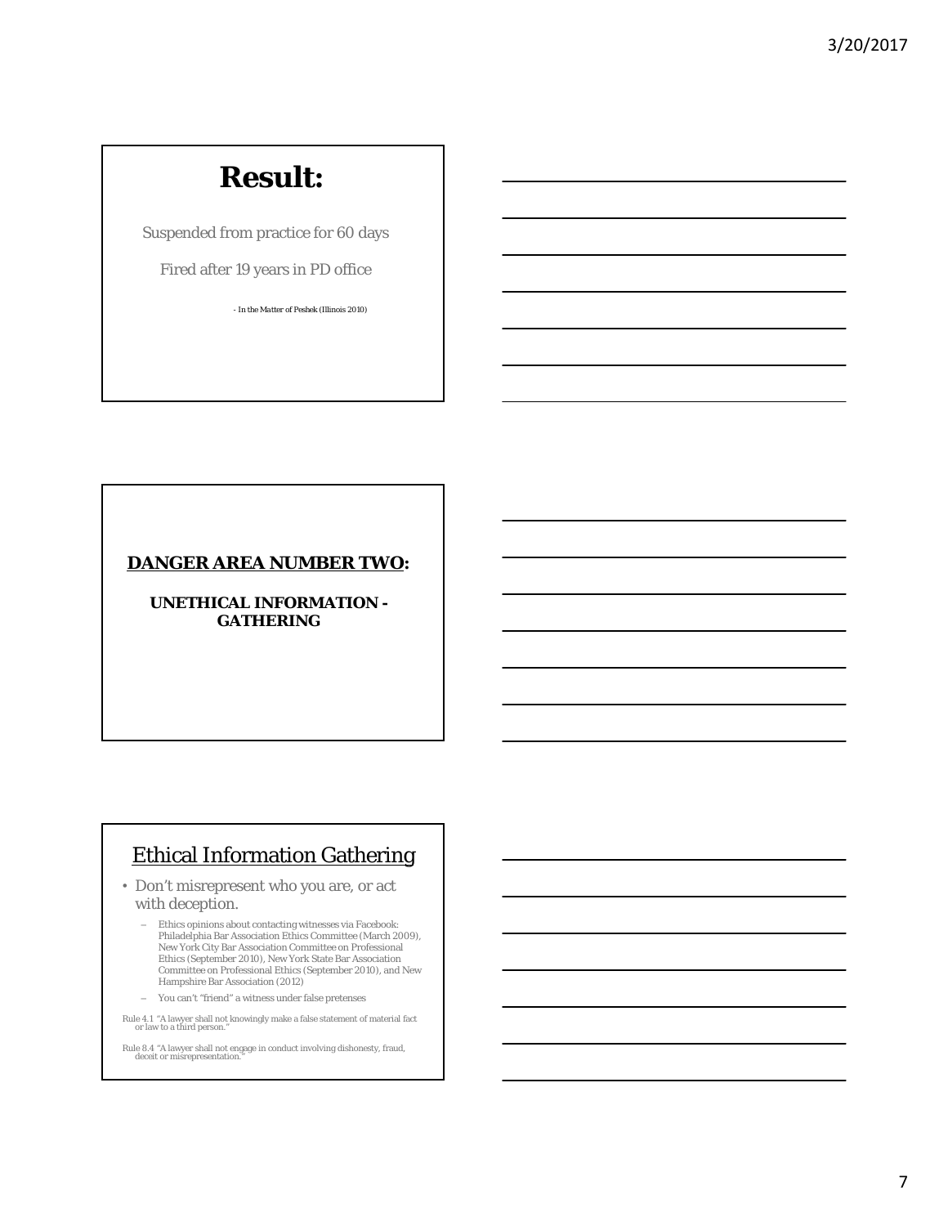# **Result:**

Suspended from practice for 60 days

Fired after 19 years in PD office

*- In the Matter of Peshek* (Illinois 2010)

### **DANGER AREA NUMBER TWO:**

**UNETHICAL INFORMATION - GATHERING**

# Ethical Information Gathering

• Don't misrepresent who you are, or act with deception.

– You can't "friend" a witness under false pretenses

Rule 4.1 "A lawyer shall not knowingly make a false statement of material fact or law to a third person."  $\,$ 

Rule 8.4 "A lawyer shall not engage in conduct involving dishonesty, fraud, deceit or misrepresentation."

<sup>–</sup> Ethics opinions about contacting witnesses via Facebook: Philadelphia Bar Association Ethics Committee (March 2009), New York City Bar Association Committee on Professional Ethics (September 2010), New York State Bar Association Committee on Professional Ethics (September 2010), and New Hampshire Bar Association (2012)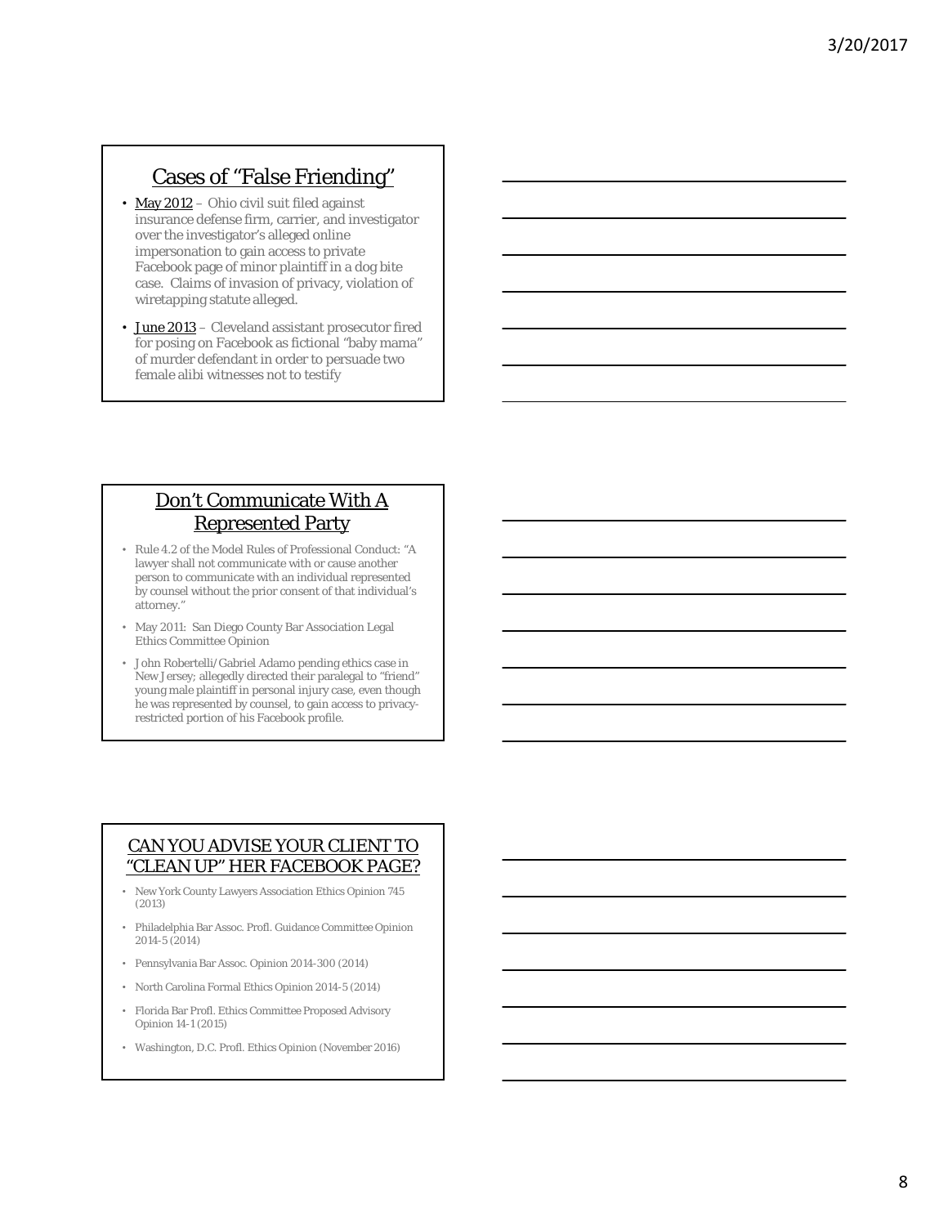# Cases of "False Friending"

- May 2012 Ohio civil suit filed against insurance defense firm, carrier, and investigator over the investigator's alleged online impersonation to gain access to private Facebook page of minor plaintiff in a dog bite case. Claims of invasion of privacy, violation of wiretapping statute alleged.
- June 2013 Cleveland assistant prosecutor fired for posing on Facebook as fictional "baby mama" of murder defendant in order to persuade two female alibi witnesses not to testify

# Don't Communicate With A Represented Party

- Rule 4.2 of the Model Rules of Professional Conduct: "A lawyer shall not communicate with or cause another person to communicate with an individual represented by counsel without the prior consent of that individual's attorney."
- May 2011: San Diego County Bar Association Legal Ethics Committee Opinion
- John Robertelli/Gabriel Adamo pending ethics case in New Jersey; allegedly directed their paralegal to "friend" young male plaintiff in personal injury case, even though he was represented by counsel, to gain access to privacyrestricted portion of his Facebook profile.

### CAN YOU ADVISE YOUR CLIENT TO "CLEAN UP" HER FACEBOOK PAGE?

- New York County Lawyers Association Ethics Opinion 745 (2013)
- Philadelphia Bar Assoc. Profl. Guidance Committee Opinion 2014-5 (2014)
- Pennsylvania Bar Assoc. Opinion 2014-300 (2014)
- North Carolina Formal Ethics Opinion 2014-5 (2014)
- Florida Bar Profl. Ethics Committee Proposed Advisory Opinion 14-1 (2015)
- Washington, D.C. Profl. Ethics Opinion (November 2016)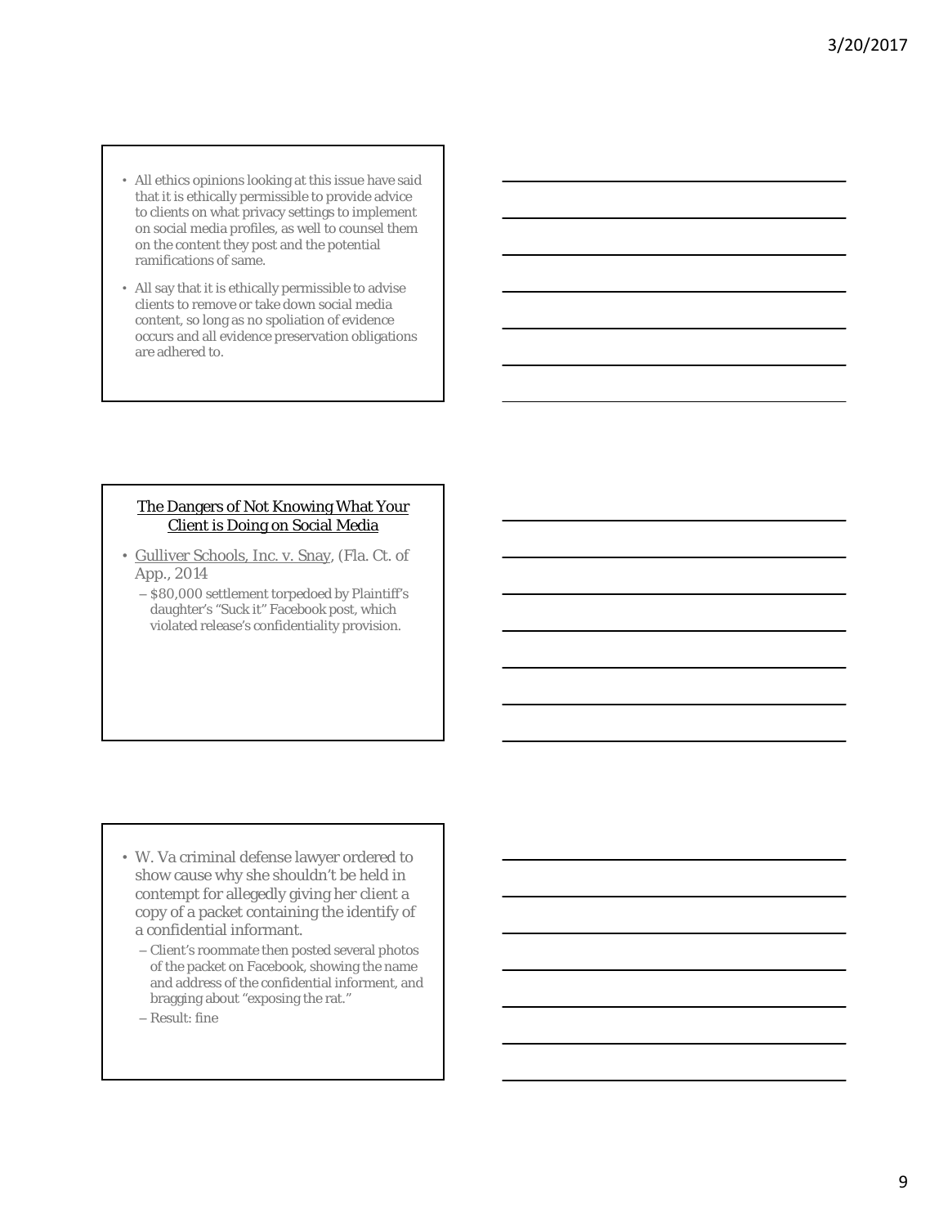- All ethics opinions looking at this issue have said that it is ethically permissible to provide advice to clients on what privacy settings to implement on social media profiles, as well to counsel them on the content they post and the potential ramifications of same.
- All say that it is ethically permissible to advise clients to remove or take down social media content, so long as no spoliation of evidence occurs and all evidence preservation obligations are adhered to.

#### The Dangers of Not Knowing What Your Client is Doing on Social Media

- Gulliver Schools, Inc. v. Snay, (Fla. Ct. of App., 2014
	- \$80,000 settlement torpedoed by Plaintiff's daughter's "Suck it" Facebook post, which violated release's confidentiality provision.

- W. Va criminal defense lawyer ordered to show cause why she shouldn't be held in contempt for allegedly giving her client a copy of a packet containing the identify of a confidential informant.
	- Client's roommate then posted several photos of the packet on Facebook, showing the name and address of the confidential informent, and bragging about "exposing the rat."
	- Result: fine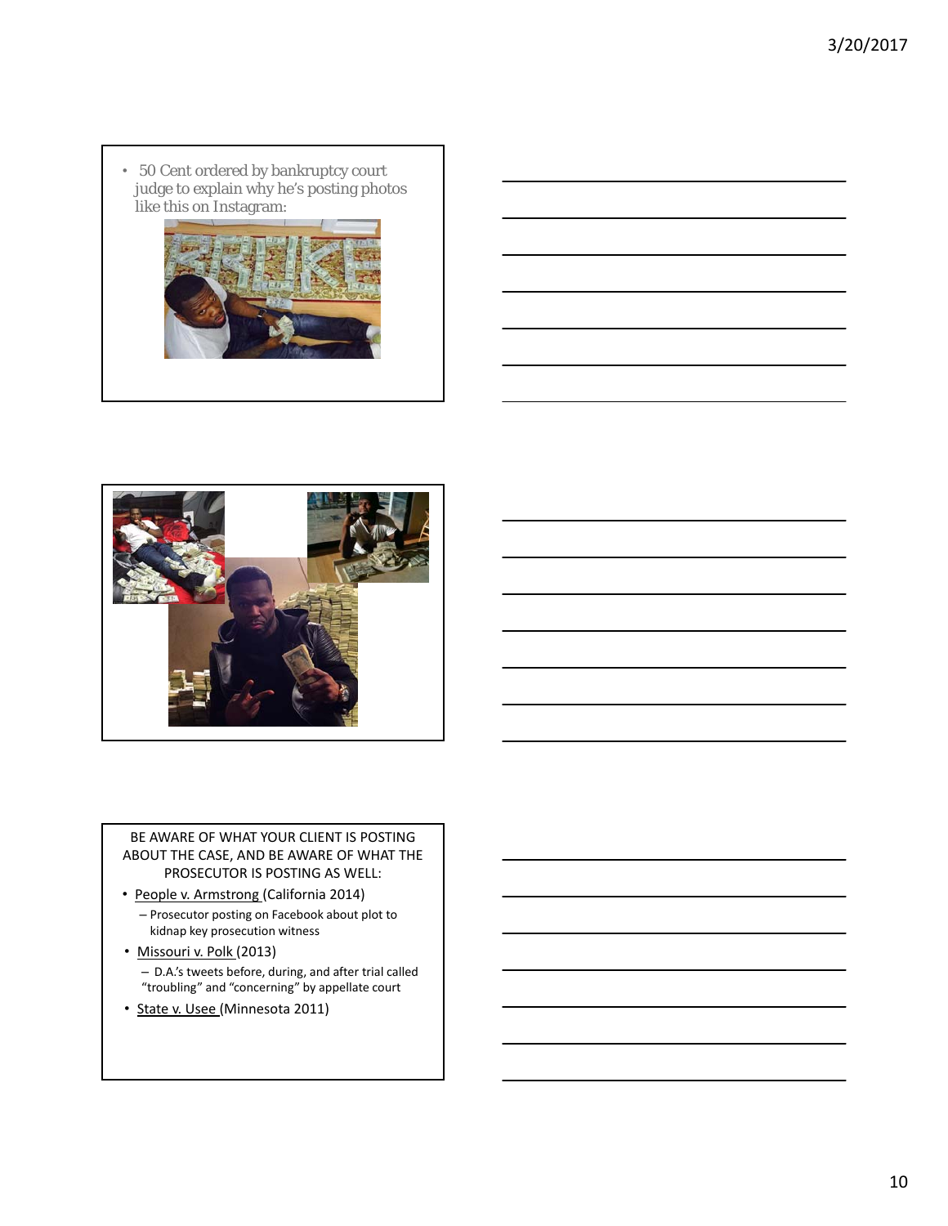• 50 Cent ordered by bankruptcy court judge to explain why he's posting photos like this on Instagram:





BE AWARE OF WHAT YOUR CLIENT IS POSTING ABOUT THE CASE, AND BE AWARE OF WHAT THE PROSECUTOR IS POSTING AS WELL:

- People v. Armstrong (California 2014)
	- Prosecutor posting on Facebook about plot to kidnap key prosecution witness
- Missouri v. Polk (2013)
	- D.A.'s tweets before, during, and after trial called "troubling" and "concerning" by appellate court
- State v. Usee (Minnesota 2011)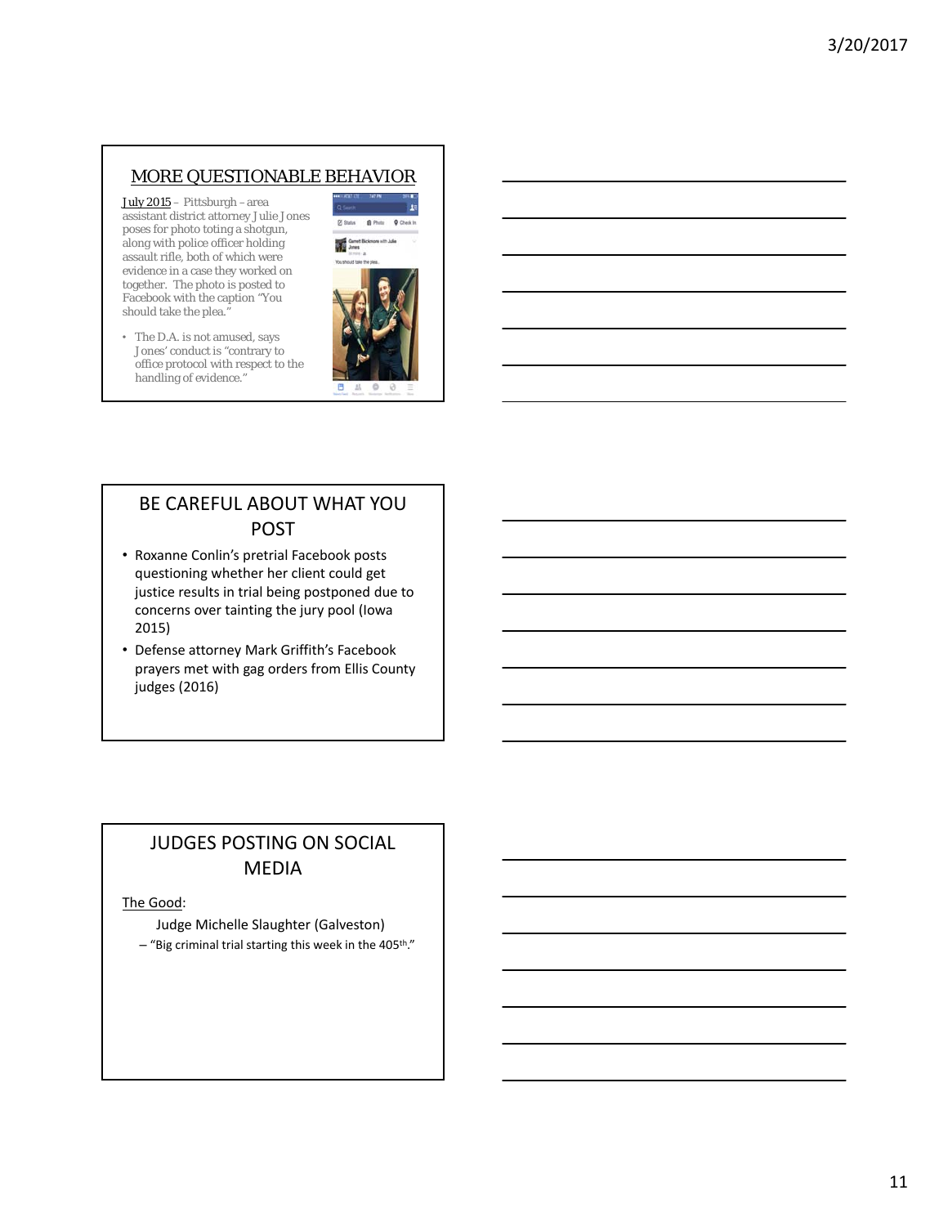### MORE QUESTIONABLE BEHAVIOR

July 2015 – Pittsburgh –area assistant district attorney Julie Jones poses for photo toting a shotgun, along with police officer holding assault rifle, both of which were evidence in a case they worked on together. The photo is posted to Facebook with the caption "You should take the plea."

• The D.A. is not amused, says Jones' conduct is "contrary to office protocol with respect to the handling of evidence."



# BE CAREFUL ABOUT WHAT YOU POST

- Roxanne Conlin's pretrial Facebook posts questioning whether her client could get justice results in trial being postponed due to concerns over tainting the jury pool (Iowa 2015)
- Defense attorney Mark Griffith's Facebook prayers met with gag orders from Ellis County judges (2016)

## JUDGES POSTING ON SOCIAL MEDIA

#### The Good:

Judge Michelle Slaughter (Galveston)  $-$  "Big criminal trial starting this week in the 405<sup>th</sup>."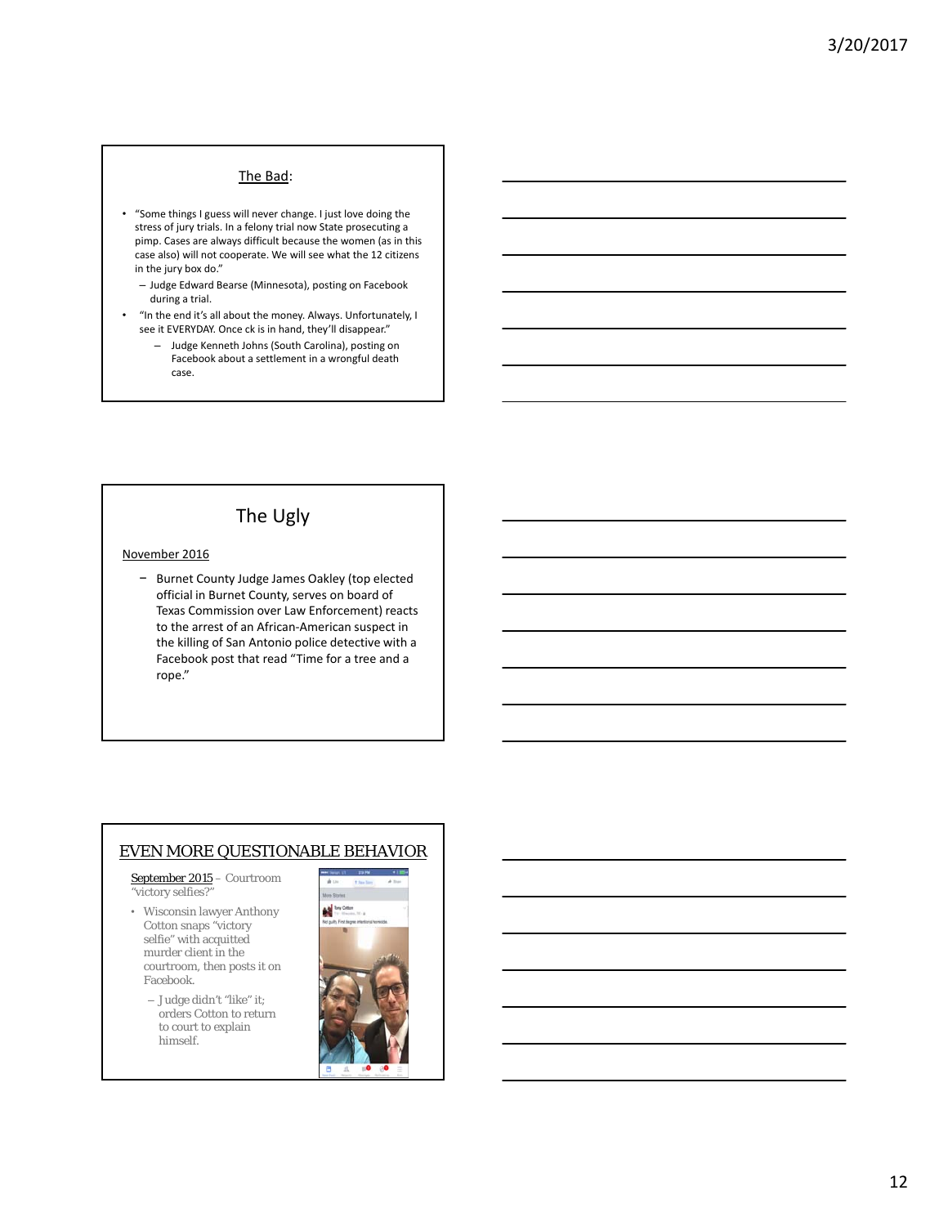#### The Bad:

- "Some things I guess will never change. I just love doing the stress of jury trials. In a felony trial now State prosecuting a pimp. Cases are always difficult because the women (as in this case also) will not cooperate. We will see what the 12 citizens in the jury box do."
	- Judge Edward Bearse (Minnesota), posting on Facebook during a trial.
- "In the end it's all about the money. Always. Unfortunately, I see it EVERYDAY. Once ck is in hand, they'll disappear."
	- Judge Kenneth Johns (South Carolina), posting on Facebook about a settlement in a wrongful death case.

### The Ugly

#### November 2016

− Burnet County Judge James Oakley (top elected official in Burnet County, serves on board of Texas Commission over Law Enforcement) reacts to the arrest of an African‐American suspect in the killing of San Antonio police detective with a Facebook post that read "Time for a tree and a rope."

#### EVEN MORE QUESTIONABLE BEHAVIOR

September 2015 – Courtroom "victory selfies?"

- Wisconsin lawyer Anthony Cotton snaps "victory selfie" with acquitted murder client in the courtroom, then posts it on Facebook.
	- Judge didn't "like" it; orders Cotton to return to court to explain himself.

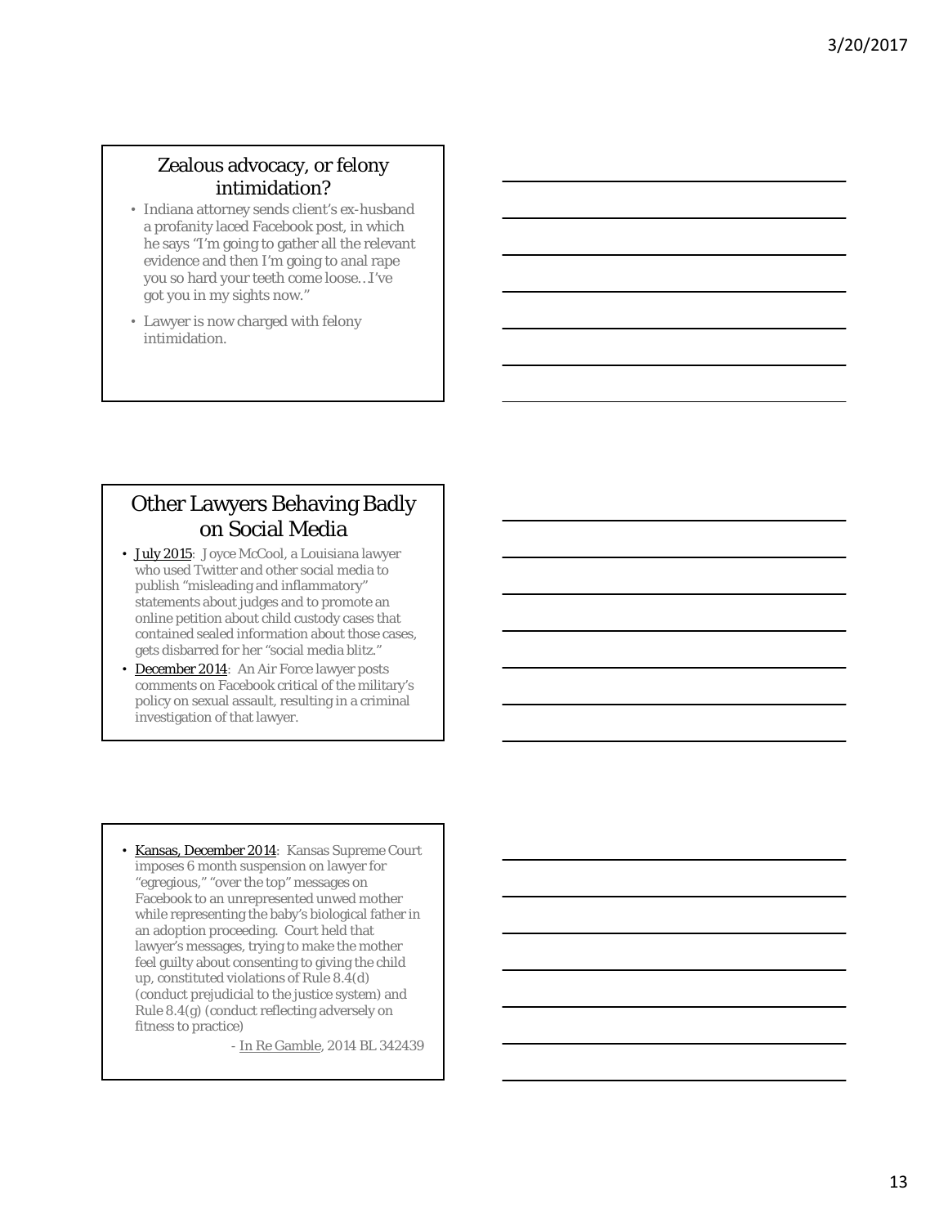# Zealous advocacy, or felony intimidation?

- Indiana attorney sends client's ex-husband a profanity laced Facebook post, in which he says "I'm going to gather all the relevant evidence and then I'm going to anal rape you so hard your teeth come loose…I've got you in my sights now."
- Lawyer is now charged with felony intimidation.

# Other Lawyers Behaving Badly on Social Media

- July 2015: Joyce McCool, a Louisiana lawyer who used Twitter and other social media to publish "misleading and inflammatory" statements about judges and to promote an online petition about child custody cases that contained sealed information about those cases, gets disbarred for her "social media blitz."
- **December 2014:** An Air Force lawyer posts comments on Facebook critical of the military's policy on sexual assault, resulting in a criminal investigation of that lawyer.
- Kansas, December 2014: Kansas Supreme Court imposes 6 month suspension on lawyer for "egregious," "over the top" messages on Facebook to an unrepresented unwed mother while representing the baby's biological father in an adoption proceeding. Court held that lawyer's messages, trying to make the mother feel guilty about consenting to giving the child up, constituted violations of Rule 8.4(d) (conduct prejudicial to the justice system) and Rule 8.4(g) (conduct reflecting adversely on fitness to practice)

- In Re Gamble, 2014 BL 342439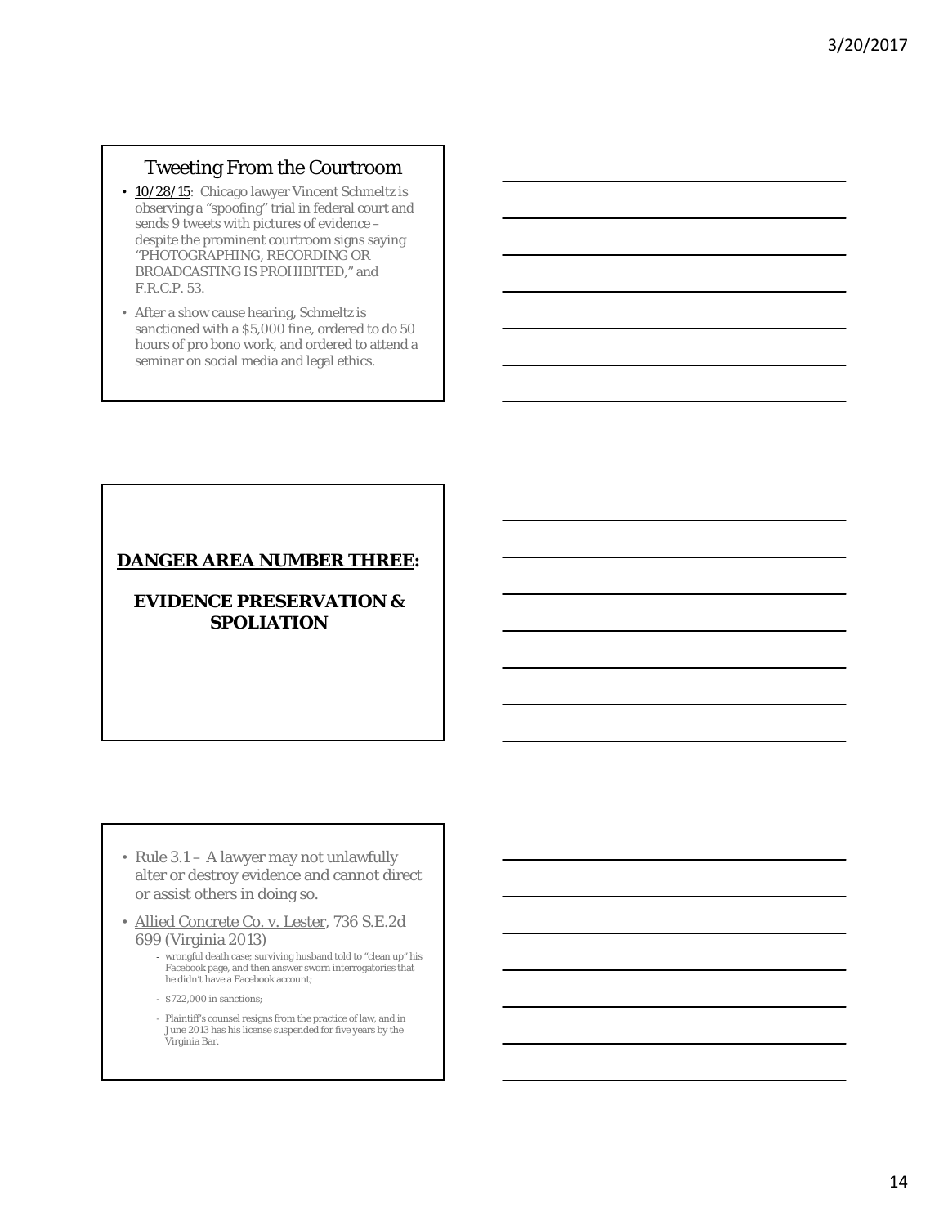### Tweeting From the Courtroom

- 10/28/15: Chicago lawyer Vincent Schmeltz is observing a "spoofing" trial in federal court and sends 9 tweets with pictures of evidence – despite the prominent courtroom signs saying "PHOTOGRAPHING, RECORDING OR BROADCASTING IS PROHIBITED," and F.R.C.P. 53.
- After a show cause hearing, Schmeltz is sanctioned with a \$5,000 fine, ordered to do 50 hours of pro bono work, and ordered to attend a seminar on social media and legal ethics.

### **DANGER AREA NUMBER THREE:**

### **EVIDENCE PRESERVATION & SPOLIATION**

- Rule 3.1 A lawyer may not unlawfully alter or destroy evidence and cannot direct or assist others in doing so.
- Allied Concrete Co. v. Lester, 736 S.E.2d 699 (Virginia 2013)
	- ‐ wrongful death case; surviving husband told to "clean up" his Facebook page, and then answer sworn interrogatories that he didn't have a Facebook account;
	- \$722,000 in sanctions;
	- Plaintiff's counsel resigns from the practice of law, and in June 2013 has his license suspended for five years by the Virginia Bar.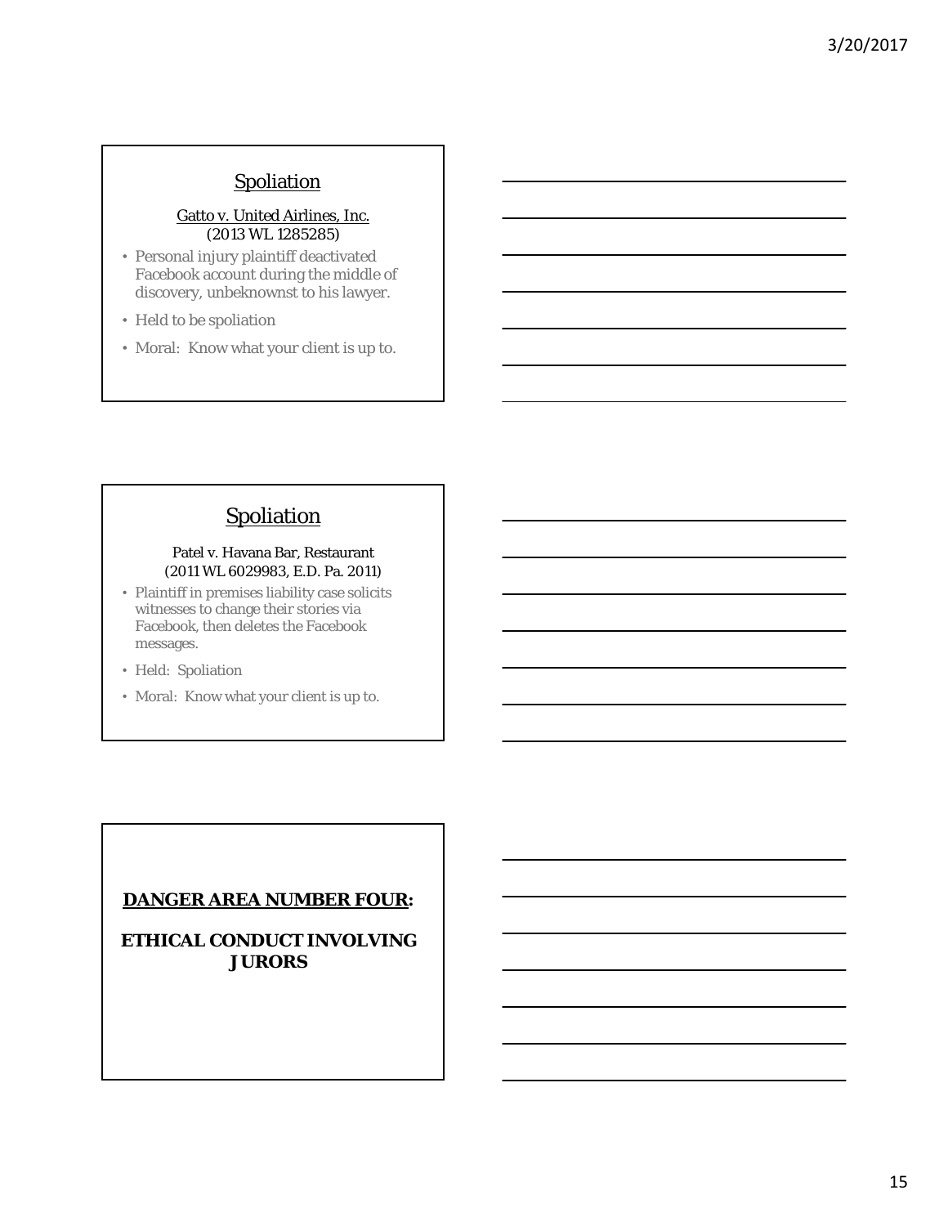# **Spoliation**

#### Gatto v. United Airlines, Inc. (2013 WL 1285285)

- Personal injury plaintiff deactivated Facebook account during the middle of discovery, unbeknownst to his lawyer.
- Held to be spoliation
- Moral: Know what your client is up to.

# **Spoliation**

#### Patel v. Havana Bar, Restaurant (2011 WL 6029983, E.D. Pa. 2011)

- Plaintiff in premises liability case solicits witnesses to change their stories via Facebook, then deletes the Facebook messages.
- Held: Spoliation
- Moral: Know what your client is up to.

### **DANGER AREA NUMBER FOUR:**

**ETHICAL CONDUCT INVOLVING JURORS**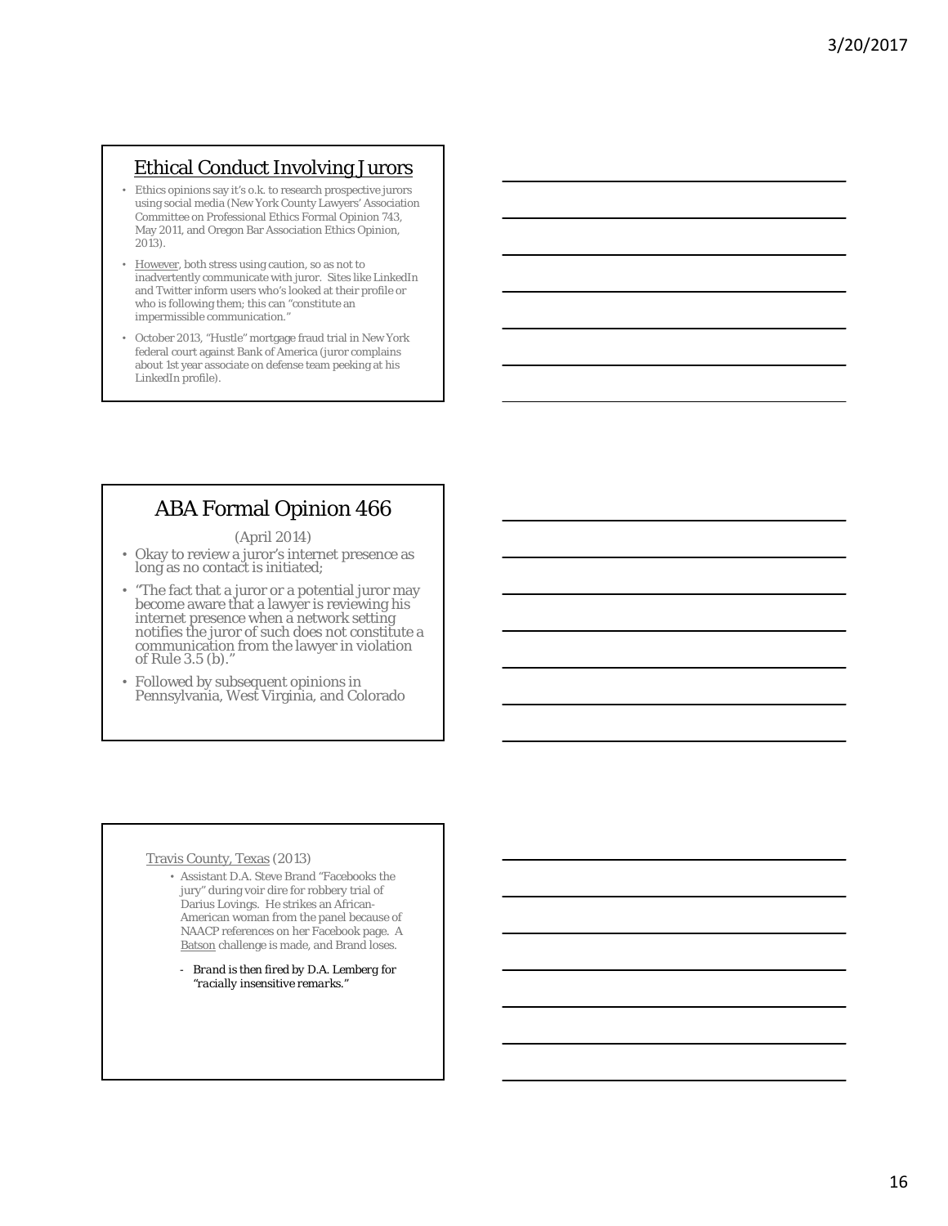# Ethical Conduct Involving Jurors

- Ethics opinions say it's o.k. to research prospective jurors using social media (New York County Lawyers' Association Committee on Professional Ethics Formal Opinion 743, May 2011, and Oregon Bar Association Ethics Opinion, 2013).
- However, both stress using caution, so as not to inadvertently communicate with juror. Sites like LinkedIn and Twitter inform users who's looked at their profile or who is following them; this can "constitute an impermissible communication."
- October 2013, "Hustle" mortgage fraud trial in New York federal court against Bank of America (juror complains about 1st year associate on defense team peeking at his LinkedIn profile).

# ABA Formal Opinion 466

(April 2014)

- Okay to review a juror's internet presence as long as no contact is initiated;
- "The fact that a juror or a potential juror may become aware that a lawyer is reviewing his internet presence when a network setting notifies the juror of such does not constitute a communication from the lawyer in violation of Rule 3.5 (b)."
- Followed by subsequent opinions in Pennsylvania, West Virginia, and Colorado

#### Travis County, Texas (2013)

- Assistant D.A. Steve Brand "Facebooks the jury" during voir dire for robbery trial of Darius Lovings. He strikes an African-American woman from the panel because of NAACP references on her Facebook page. A Batson challenge is made, and Brand loses.
	- *Brand is then fired by D.A. Lemberg for "racially insensitive remarks."*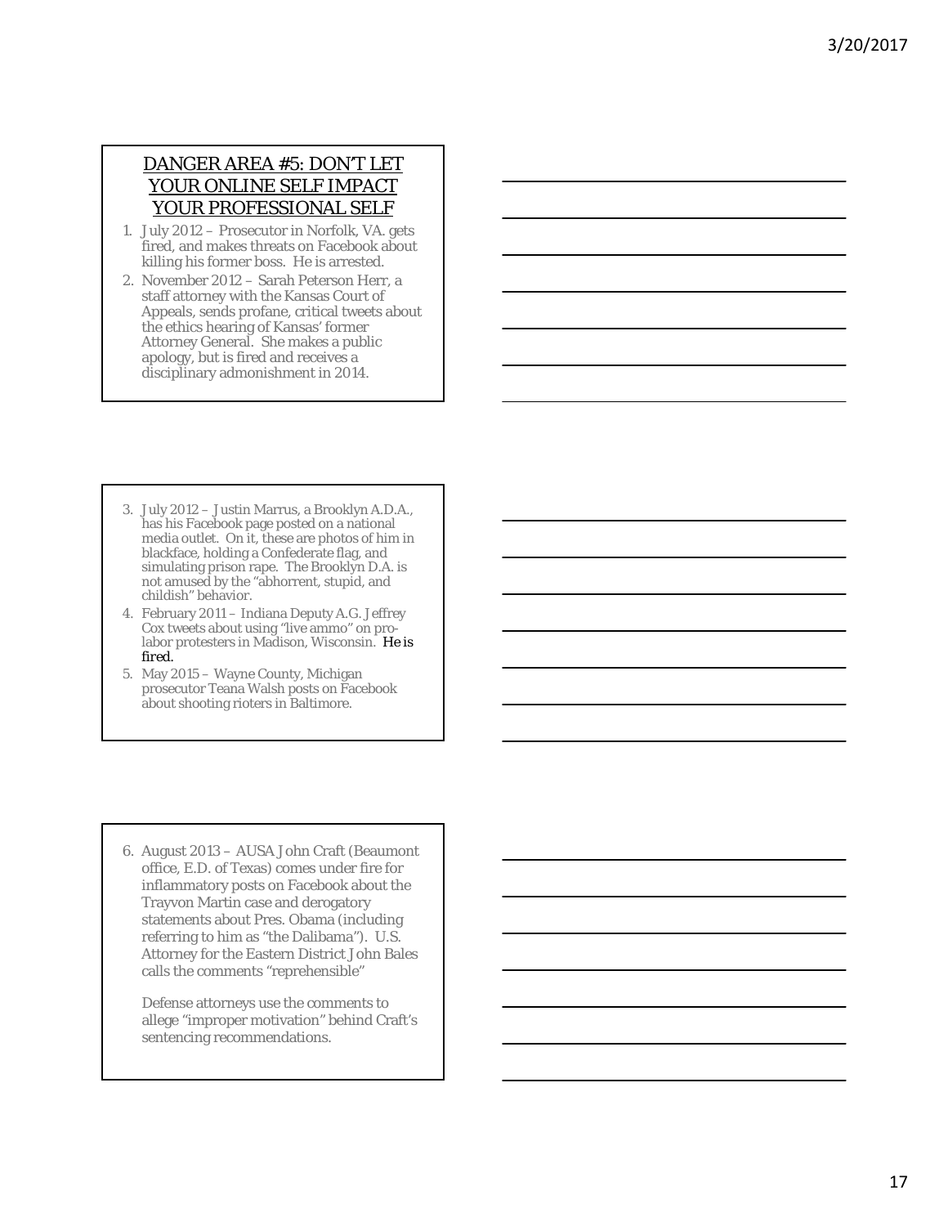## DANGER AREA #5: DON'T LET YOUR ONLINE SELF IMPACT YOUR PROFESSIONAL SELF

- 1. July 2012 Prosecutor in Norfolk, VA. gets fired, and makes threats on Facebook about killing his former boss. He is arrested.
- 2. November 2012 Sarah Peterson Herr, a staff attorney with the Kansas Court of Appeals, sends profane, critical tweets about the ethics hearing of Kansas' former Attorney General. She makes a public apology, but is fired and receives a disciplinary admonishment in 2014.
- 3. July 2012 Justin Marrus, a Brooklyn A.D.A., has his Facebook page posted on a national media outlet. On it, these are photos of him in blackface, holding a Confederate flag, and simulating prison rape. The Brooklyn D.A. is not amused by the "abhorrent, stupid, and childish" behavior.
- 4. February 2011 Indiana Deputy A.G. Jeffrey Cox tweets about using "live ammo" on prolabor protesters in Madison, Wisconsin. *He is fired.*
- 5. May 2015 Wayne County, Michigan prosecutor Teana Walsh posts on Facebook about shooting rioters in Baltimore.

6. August 2013 – AUSA John Craft (Beaumont office, E.D. of Texas) comes under fire for inflammatory posts on Facebook about the Trayvon Martin case and derogatory statements about Pres. Obama (including referring to him as "the Dalibama"). U.S. Attorney for the Eastern District John Bales calls the comments "reprehensible"

Defense attorneys use the comments to allege "improper motivation" behind Craft's sentencing recommendations.